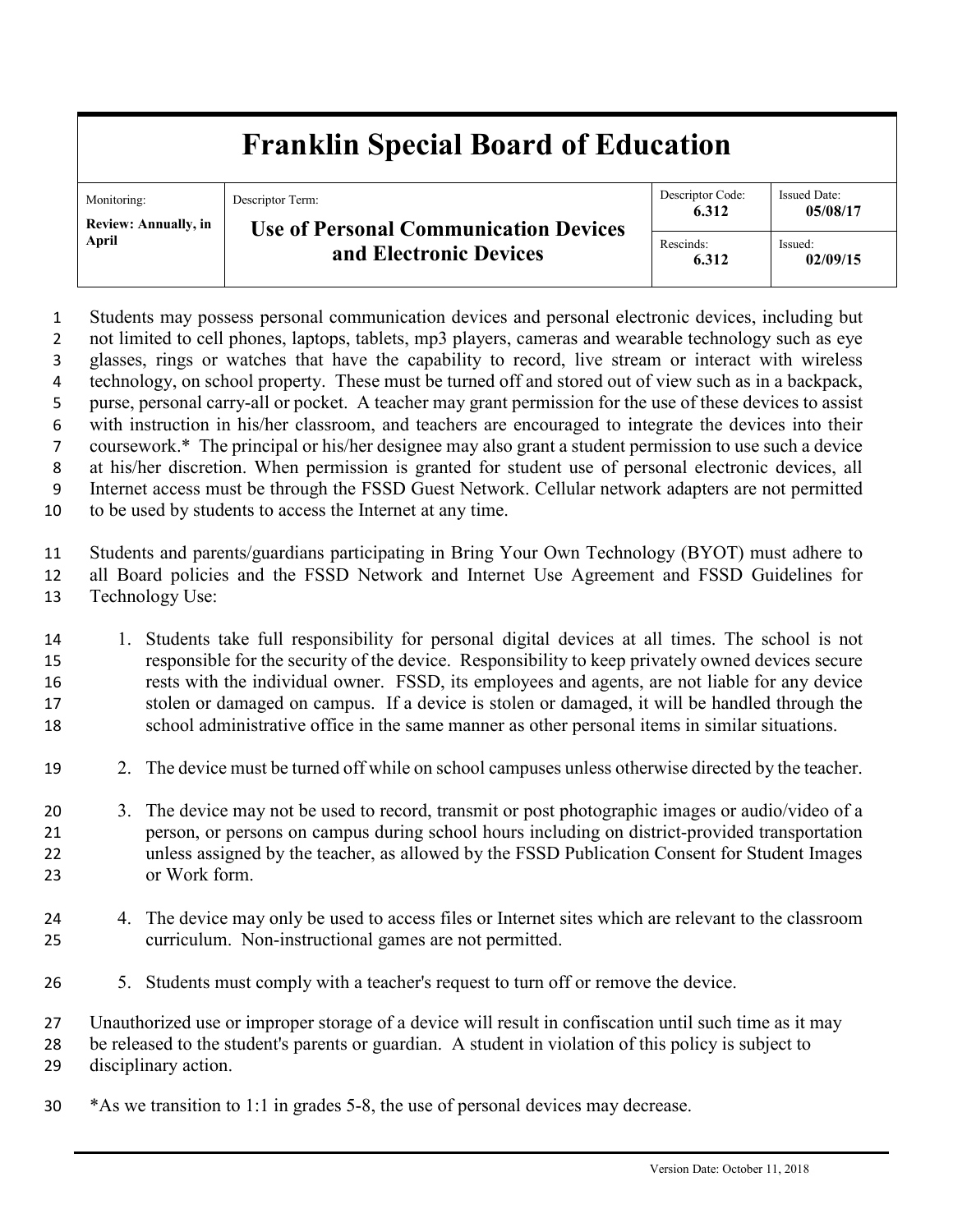## **Franklin Special Board of Education**

| Monitoring:<br><b>Review: Annually, in</b><br><b>April</b> | Descriptor Term:<br><b>Use of Personal Communication Devices</b><br>and Electronic Devices | Descriptor Code:<br>6.312 | <b>Issued Date:</b><br>05/08/17 |
|------------------------------------------------------------|--------------------------------------------------------------------------------------------|---------------------------|---------------------------------|
|                                                            |                                                                                            | Rescinds:<br>6.312        | Issued:<br>02/09/15             |

 Students may possess personal communication devices and personal electronic devices, including but 2 not limited to cell phones, laptops, tablets, mp3 players, cameras and wearable technology such as eye glasses, rings or watches that have the capability to record, live stream or interact with wireless technology, on school property. These must be turned off and stored out of view such as in a backpack, purse, personal carry-all or pocket. A teacher may grant permission for the use of these devices to assist with instruction in his/her classroom, and teachers are encouraged to integrate the devices into their coursework.\* The principal or his/her designee may also grant a student permission to use such a device at his/her discretion. When permission is granted for student use of personal electronic devices, all Internet access must be through the FSSD Guest Network. Cellular network adapters are not permitted to be used by students to access the Internet at any time.

 Students and parents/guardians participating in Bring Your Own Technology (BYOT) must adhere to all Board policies and the FSSD Network and Internet Use Agreement and FSSD Guidelines for Technology Use:

- 1. Students take full responsibility for personal digital devices at all times. The school is not responsible for the security of the device. Responsibility to keep privately owned devices secure rests with the individual owner. FSSD, its employees and agents, are not liable for any device stolen or damaged on campus. If a device is stolen or damaged, it will be handled through the school administrative office in the same manner as other personal items in similar situations.
- 2. The device must be turned off while on school campuses unless otherwise directed by the teacher.
- 3. The device may not be used to record, transmit or post photographic images or audio/video of a person, or persons on campus during school hours including on district-provided transportation unless assigned by the teacher, as allowed by the FSSD Publication Consent for Student Images or Work form.
- 4. The device may only be used to access files or Internet sites which are relevant to the classroom curriculum. Non-instructional games are not permitted.
- 5. Students must comply with a teacher's request to turn off or remove the device.

Unauthorized use or improper storage of a device will result in confiscation until such time as it may

- be released to the student's parents or guardian. A student in violation of this policy is subject to disciplinary action.
- \*As we transition to 1:1 in grades 5-8, the use of personal devices may decrease.